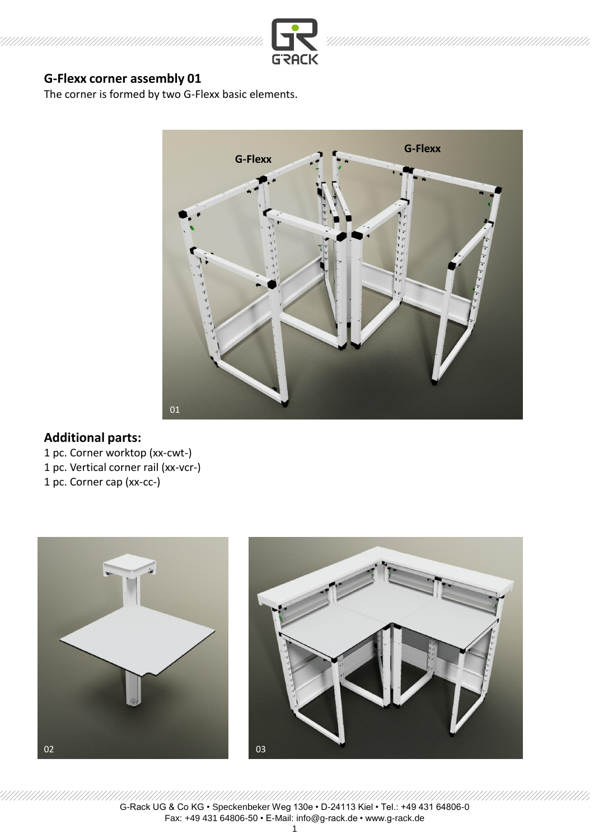

The corner is formed by two G-Flexx basic elements.



## **Additional parts:**

1 pc. Corner worktop (xx-cwt-)

1 pc. Vertical corner rail (xx-vcr-)

1 pc. Corner cap (xx-cc-)





///////////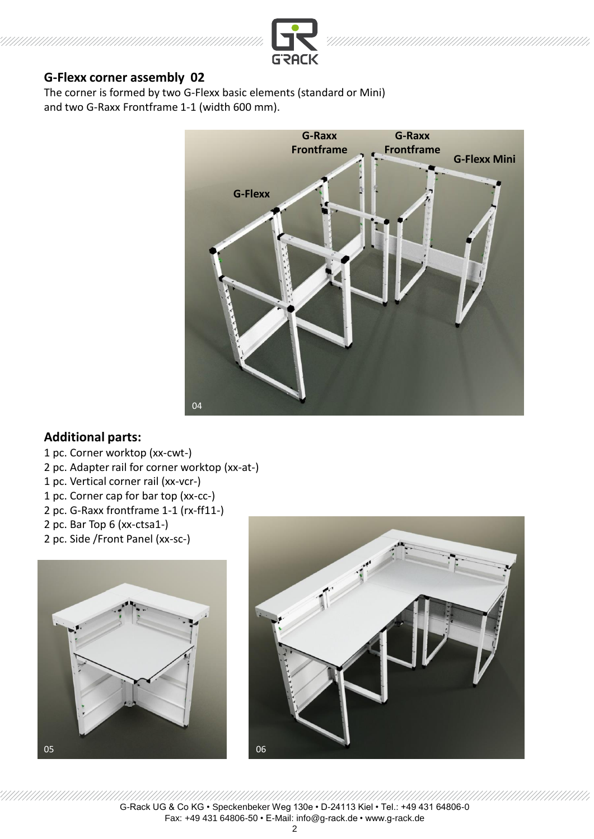

The corner is formed by two G-Flexx basic elements (standard or Mini) and two G-Raxx Frontframe 1-1 (width 600 mm).



## **Additional parts:**

- 1 pc. Corner worktop (xx-cwt-)
- 2 pc. Adapter rail for corner worktop (xx-at-)
- 1 pc. Vertical corner rail (xx-vcr-)
- 1 pc. Corner cap for bar top (xx-cc-)
- 2 pc. G-Raxx frontframe 1-1 (rx-ff11-)
- 2 pc. Bar Top 6 (xx-ctsa1-)
- 2 pc. Side /Front Panel (xx-sc-)





2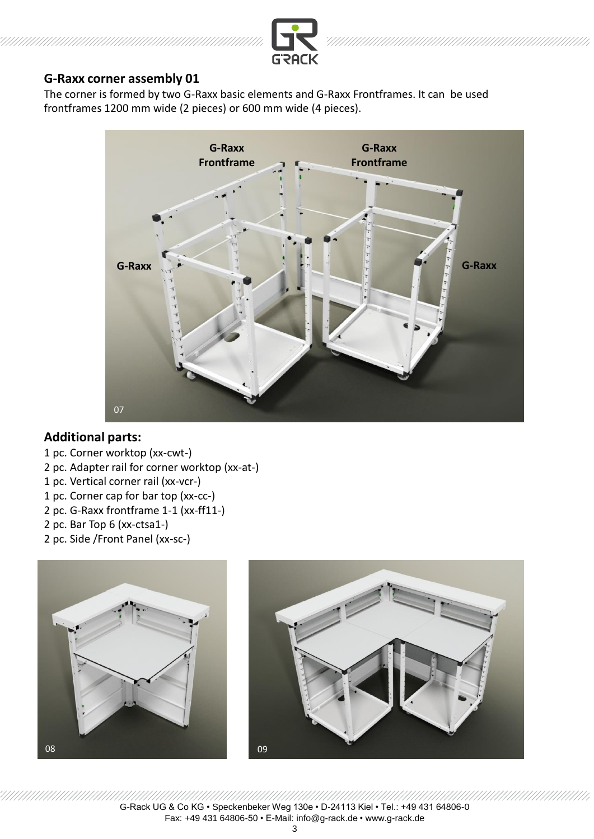

## **G-Raxx corner assembly 01**

The corner is formed by two G-Raxx basic elements and G-Raxx Frontframes. It can be used frontframes 1200 mm wide (2 pieces) or 600 mm wide (4 pieces).



## **Additional parts:**

- 1 pc. Corner worktop (xx-cwt-)
- 2 pc. Adapter rail for corner worktop (xx-at-)
- 1 pc. Vertical corner rail (xx-vcr-)
- 1 pc. Corner cap for bar top (xx-cc-)
- 2 pc. G-Raxx frontframe 1-1 (xx-ff11-)
- 2 pc. Bar Top 6 (xx-ctsa1-)
- 2 pc. Side /Front Panel (xx-sc-)